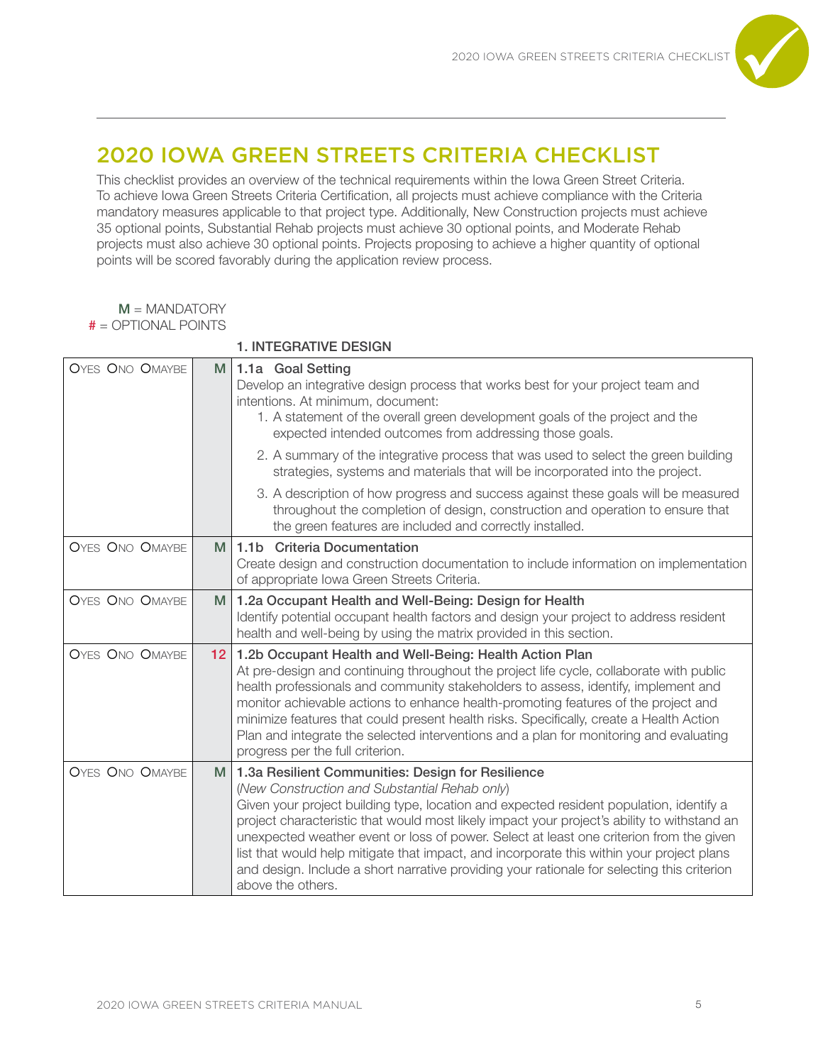

# 2020 IOWA GREEN STREETS CRITERIA CHECKLIST

This checklist provides an overview of the technical requirements within the Iowa Green Street Criteria. To achieve Iowa Green Streets Criteria Certification, all projects must achieve compliance with the Criteria mandatory measures applicable to that project type. Additionally, New Construction projects must achieve 35 optional points, Substantial Rehab projects must achieve 30 optional points, and Moderate Rehab projects must also achieve 30 optional points. Projects proposing to achieve a higher quantity of optional points will be scored favorably during the application review process.

| $M = MANDATORY$                 |
|---------------------------------|
| $# = \triangle$ OPTIONAL POINTS |

# 1. INTEGRATIVE DESIGN

| OYES ONO OMAYBE        | M               | 1.1a Goal Setting<br>Develop an integrative design process that works best for your project team and<br>intentions. At minimum, document:<br>1. A statement of the overall green development goals of the project and the<br>expected intended outcomes from addressing those goals.                                                                                                                                                                                                                                                                                                                     |
|------------------------|-----------------|----------------------------------------------------------------------------------------------------------------------------------------------------------------------------------------------------------------------------------------------------------------------------------------------------------------------------------------------------------------------------------------------------------------------------------------------------------------------------------------------------------------------------------------------------------------------------------------------------------|
|                        |                 | 2. A summary of the integrative process that was used to select the green building<br>strategies, systems and materials that will be incorporated into the project.                                                                                                                                                                                                                                                                                                                                                                                                                                      |
|                        |                 | 3. A description of how progress and success against these goals will be measured<br>throughout the completion of design, construction and operation to ensure that<br>the green features are included and correctly installed.                                                                                                                                                                                                                                                                                                                                                                          |
| <b>OYES ONO OMAYBE</b> | M               | 1.1b Criteria Documentation<br>Create design and construction documentation to include information on implementation<br>of appropriate Iowa Green Streets Criteria.                                                                                                                                                                                                                                                                                                                                                                                                                                      |
| <b>OYES ONO OMAYBE</b> | M               | 1.2a Occupant Health and Well-Being: Design for Health<br>Identify potential occupant health factors and design your project to address resident<br>health and well-being by using the matrix provided in this section.                                                                                                                                                                                                                                                                                                                                                                                  |
| <b>OYES ONO OMAYBE</b> | 12 <sup>2</sup> | 1.2b Occupant Health and Well-Being: Health Action Plan<br>At pre-design and continuing throughout the project life cycle, collaborate with public<br>health professionals and community stakeholders to assess, identify, implement and<br>monitor achievable actions to enhance health-promoting features of the project and<br>minimize features that could present health risks. Specifically, create a Health Action<br>Plan and integrate the selected interventions and a plan for monitoring and evaluating<br>progress per the full criterion.                                                  |
| <b>OYES ONO OMAYBE</b> | M               | 1.3a Resilient Communities: Design for Resilience<br>(New Construction and Substantial Rehab only)<br>Given your project building type, location and expected resident population, identify a<br>project characteristic that would most likely impact your project's ability to withstand an<br>unexpected weather event or loss of power. Select at least one criterion from the given<br>list that would help mitigate that impact, and incorporate this within your project plans<br>and design. Include a short narrative providing your rationale for selecting this criterion<br>above the others. |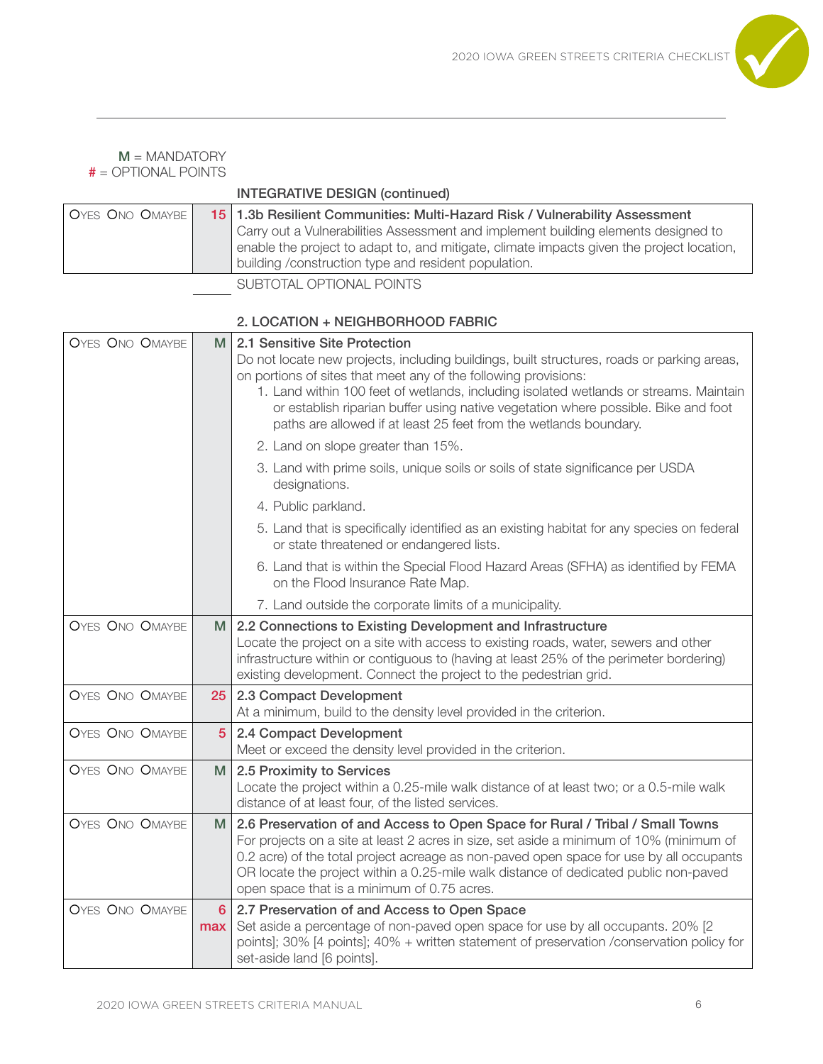

| $M = MANDATORY$<br>$# = \triangle$ OPTIONAL POINTS |                                                                                                                                                                                                                                                                                                                        |
|----------------------------------------------------|------------------------------------------------------------------------------------------------------------------------------------------------------------------------------------------------------------------------------------------------------------------------------------------------------------------------|
|                                                    | <b>INTEGRATIVE DESIGN (continued)</b>                                                                                                                                                                                                                                                                                  |
| OYES ONO OMAYBE                                    | 15 1.3b Resilient Communities: Multi-Hazard Risk / Vulnerability Assessment<br>Carry out a Vulnerabilities Assessment and implement building elements designed to<br>enable the project to adapt to, and mitigate, climate impacts given the project location,<br>building /construction type and resident population. |
|                                                    | SUBTOTAL OPTIONAL POINTS                                                                                                                                                                                                                                                                                               |
|                                                    | 2 LOCATION + NEIGHRORHOOD FARRIC                                                                                                                                                                                                                                                                                       |

| <b>OYES ONO OMAYBE</b> | M                     | 2.1 Sensitive Site Protection<br>Do not locate new projects, including buildings, built structures, roads or parking areas,<br>on portions of sites that meet any of the following provisions:<br>1. Land within 100 feet of wetlands, including isolated wetlands or streams. Maintain<br>or establish riparian buffer using native vegetation where possible. Bike and foot<br>paths are allowed if at least 25 feet from the wetlands boundary. |
|------------------------|-----------------------|----------------------------------------------------------------------------------------------------------------------------------------------------------------------------------------------------------------------------------------------------------------------------------------------------------------------------------------------------------------------------------------------------------------------------------------------------|
|                        |                       | 2. Land on slope greater than 15%.                                                                                                                                                                                                                                                                                                                                                                                                                 |
|                        |                       | 3. Land with prime soils, unique soils or soils of state significance per USDA<br>designations.                                                                                                                                                                                                                                                                                                                                                    |
|                        |                       | 4. Public parkland.                                                                                                                                                                                                                                                                                                                                                                                                                                |
|                        |                       | 5. Land that is specifically identified as an existing habitat for any species on federal<br>or state threatened or endangered lists.                                                                                                                                                                                                                                                                                                              |
|                        |                       | 6. Land that is within the Special Flood Hazard Areas (SFHA) as identified by FEMA<br>on the Flood Insurance Rate Map.                                                                                                                                                                                                                                                                                                                             |
|                        |                       | 7. Land outside the corporate limits of a municipality.                                                                                                                                                                                                                                                                                                                                                                                            |
| <b>OYES ONO OMAYBE</b> | М                     | 2.2 Connections to Existing Development and Infrastructure<br>Locate the project on a site with access to existing roads, water, sewers and other<br>infrastructure within or contiguous to (having at least 25% of the perimeter bordering)<br>existing development. Connect the project to the pedestrian grid.                                                                                                                                  |
| <b>OYES ONO OMAYBE</b> | 25                    | 2.3 Compact Development<br>At a minimum, build to the density level provided in the criterion.                                                                                                                                                                                                                                                                                                                                                     |
| <b>OYES ONO OMAYBE</b> | $\overline{5}$        | 2.4 Compact Development<br>Meet or exceed the density level provided in the criterion.                                                                                                                                                                                                                                                                                                                                                             |
| <b>OYES ONO OMAYBE</b> | M                     | 2.5 Proximity to Services<br>Locate the project within a 0.25-mile walk distance of at least two; or a 0.5-mile walk<br>distance of at least four, of the listed services.                                                                                                                                                                                                                                                                         |
| <b>OYES ONO OMAYBE</b> | M                     | 2.6 Preservation of and Access to Open Space for Rural / Tribal / Small Towns<br>For projects on a site at least 2 acres in size, set aside a minimum of 10% (minimum of<br>0.2 acre) of the total project acreage as non-paved open space for use by all occupants<br>OR locate the project within a 0.25-mile walk distance of dedicated public non-paved<br>open space that is a minimum of 0.75 acres.                                         |
| <b>OYES ONO OMAYBE</b> | $6\phantom{a}$<br>max | 2.7 Preservation of and Access to Open Space<br>Set aside a percentage of non-paved open space for use by all occupants. 20% [2<br>points]; 30% [4 points]; 40% + written statement of preservation /conservation policy for<br>set-aside land [6 points].                                                                                                                                                                                         |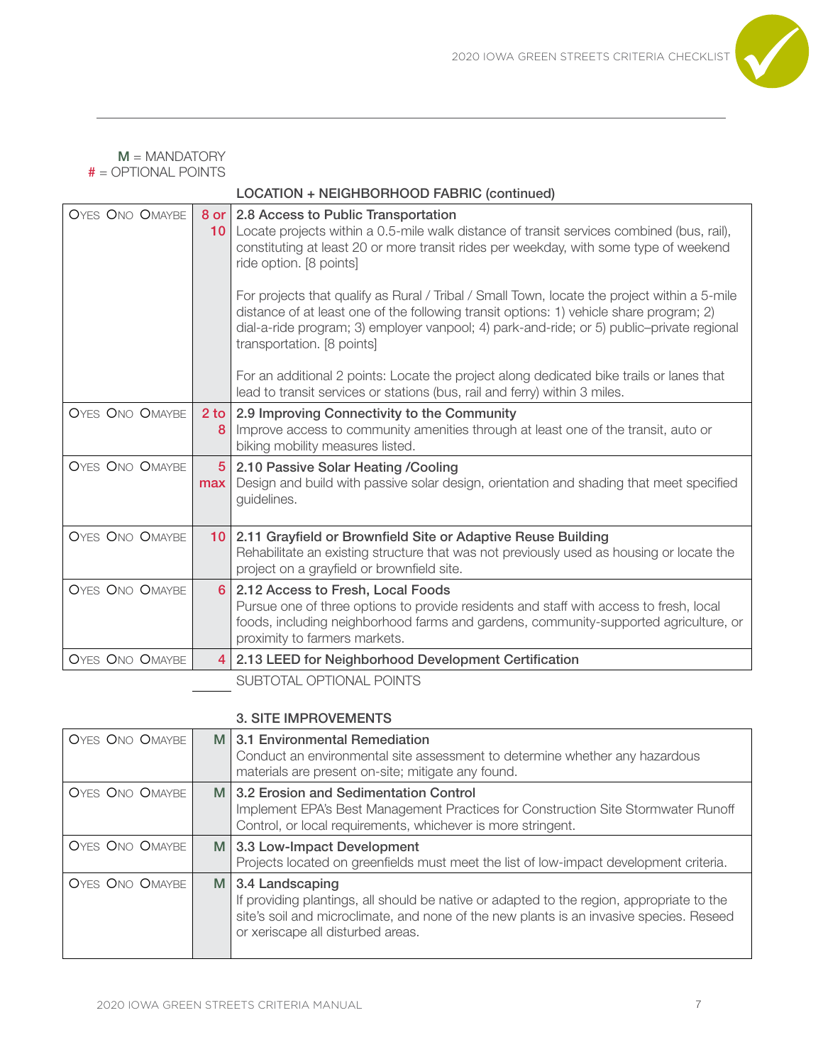

|                        |                         | LOCATION + NEIGHBORHOOD FABRIC (continued)                                                                                                                                                                                                                                                                                                           |
|------------------------|-------------------------|------------------------------------------------------------------------------------------------------------------------------------------------------------------------------------------------------------------------------------------------------------------------------------------------------------------------------------------------------|
| <b>OYES ONO OMAYBE</b> | 8 or<br>10 <sup>°</sup> | 2.8 Access to Public Transportation<br>Locate projects within a 0.5-mile walk distance of transit services combined (bus, rail),<br>constituting at least 20 or more transit rides per weekday, with some type of weekend<br>ride option. [8 points]<br>For projects that qualify as Rural / Tribal / Small Town, locate the project within a 5-mile |
|                        |                         | distance of at least one of the following transit options: 1) vehicle share program; 2)<br>dial-a-ride program; 3) employer vanpool; 4) park-and-ride; or 5) public-private regional<br>transportation. [8 points]                                                                                                                                   |
|                        |                         | For an additional 2 points: Locate the project along dedicated bike trails or lanes that<br>lead to transit services or stations (bus, rail and ferry) within 3 miles.                                                                                                                                                                               |
| <b>OYES ONO OMAYBE</b> | 2 <sub>to</sub><br>8    | 2.9 Improving Connectivity to the Community<br>Improve access to community amenities through at least one of the transit, auto or<br>biking mobility measures listed.                                                                                                                                                                                |
| <b>OYES ONO OMAYBE</b> | $5\phantom{1}$<br>max   | 2.10 Passive Solar Heating / Cooling<br>Design and build with passive solar design, orientation and shading that meet specified<br>guidelines.                                                                                                                                                                                                       |
| <b>OYES ONO OMAYBE</b> | 10 <sup>1</sup>         | 2.11 Grayfield or Brownfield Site or Adaptive Reuse Building<br>Rehabilitate an existing structure that was not previously used as housing or locate the<br>project on a grayfield or brownfield site.                                                                                                                                               |
| <b>OYES ONO OMAYBE</b> | $6^{\circ}$             | 2.12 Access to Fresh, Local Foods<br>Pursue one of three options to provide residents and staff with access to fresh, local<br>foods, including neighborhood farms and gardens, community-supported agriculture, or<br>proximity to farmers markets.                                                                                                 |
| <b>OYES ONO OMAYBE</b> | $\overline{4}$          | 2.13 LEED for Neighborhood Development Certification                                                                                                                                                                                                                                                                                                 |
|                        |                         | SUBTOTAL OPTIONAL POINTS                                                                                                                                                                                                                                                                                                                             |

3. SITE IMPROVEMENTS

| OYES ONO OMAYBE | M 3.1 Environmental Remediation<br>Conduct an environmental site assessment to determine whether any hazardous<br>materials are present on-site; mitigate any found.                                                                           |
|-----------------|------------------------------------------------------------------------------------------------------------------------------------------------------------------------------------------------------------------------------------------------|
| OYES ONO OMAYBE | M 3.2 Erosion and Sedimentation Control<br>Implement EPA's Best Management Practices for Construction Site Stormwater Runoff<br>Control, or local requirements, whichever is more stringent.                                                   |
| OYES ONO OMAYBE | M 3.3 Low-Impact Development<br>Projects located on greenfields must meet the list of low-impact development criteria.                                                                                                                         |
| OYES ONO OMAYBE | M 3.4 Landscaping<br>If providing plantings, all should be native or adapted to the region, appropriate to the<br>site's soil and microclimate, and none of the new plants is an invasive species. Reseed<br>or xeriscape all disturbed areas. |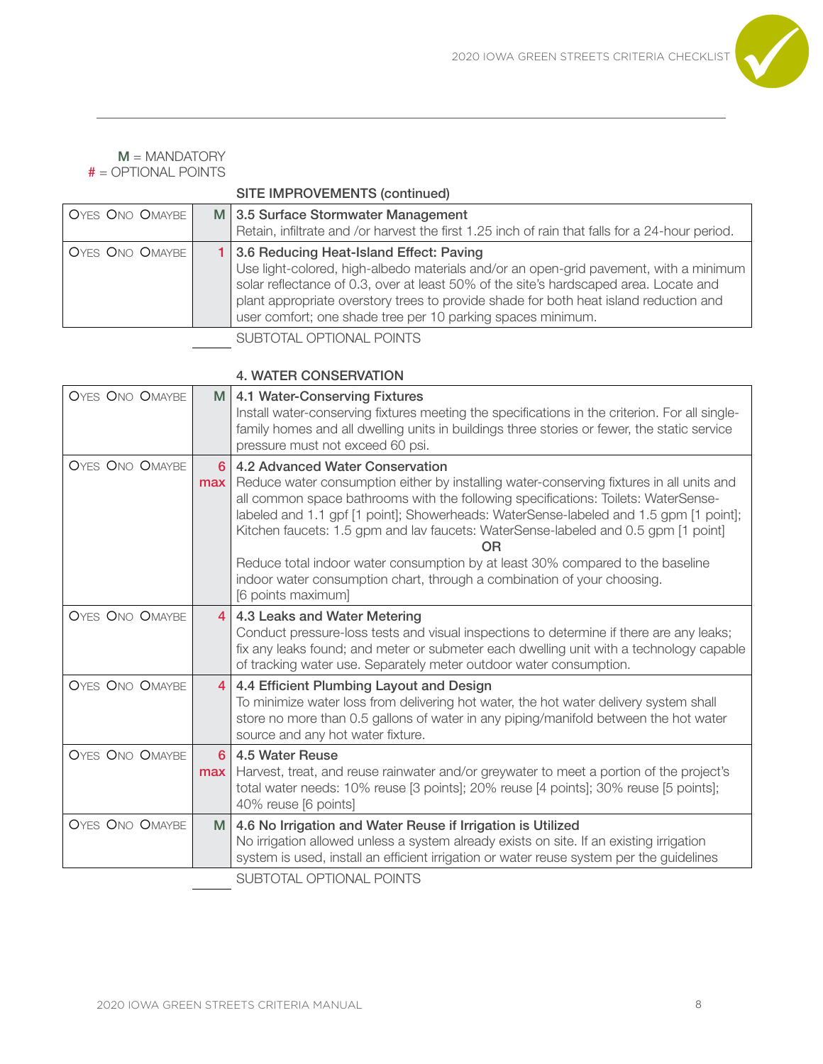

|                 | <b>SITE IMPROVEMENTS (continued)</b>                                                                                                                                                                                                                                                                                                                                                |
|-----------------|-------------------------------------------------------------------------------------------------------------------------------------------------------------------------------------------------------------------------------------------------------------------------------------------------------------------------------------------------------------------------------------|
| OYES ONO OMAYBE | M 3.5 Surface Stormwater Management<br>Retain, infiltrate and /or harvest the first 1.25 inch of rain that falls for a 24-hour period.                                                                                                                                                                                                                                              |
| OYES ONO OMAYBE | 1 3.6 Reducing Heat-Island Effect: Paving<br>Use light-colored, high-albedo materials and/or an open-grid pavement, with a minimum<br>solar reflectance of 0.3, over at least 50% of the site's hardscaped area. Locate and<br>plant appropriate overstory trees to provide shade for both heat island reduction and<br>user comfort; one shade tree per 10 parking spaces minimum. |
|                 | SUBTOTAL OPTIONAL POINTS                                                                                                                                                                                                                                                                                                                                                            |

# 4. WATER CONSERVATION

| <b>OYES ONO OMAYBE</b> | M.                       | 4.1 Water-Conserving Fixtures<br>Install water-conserving fixtures meeting the specifications in the criterion. For all single-<br>family homes and all dwelling units in buildings three stories or fewer, the static service<br>pressure must not exceed 60 psi.                                                                                                                                                                                                                              |  |  |  |
|------------------------|--------------------------|-------------------------------------------------------------------------------------------------------------------------------------------------------------------------------------------------------------------------------------------------------------------------------------------------------------------------------------------------------------------------------------------------------------------------------------------------------------------------------------------------|--|--|--|
| <b>OYES ONO OMAYBE</b> | 6<br>max                 | 4.2 Advanced Water Conservation<br>Reduce water consumption either by installing water-conserving fixtures in all units and<br>all common space bathrooms with the following specifications: Toilets: WaterSense-<br>labeled and 1.1 gpf [1 point]; Showerheads: WaterSense-labeled and 1.5 gpm [1 point];<br>Kitchen faucets: 1.5 gpm and lav faucets: WaterSense-labeled and 0.5 gpm [1 point]<br><b>OR</b><br>Reduce total indoor water consumption by at least 30% compared to the baseline |  |  |  |
|                        |                          | indoor water consumption chart, through a combination of your choosing.<br>[6 points maximum]                                                                                                                                                                                                                                                                                                                                                                                                   |  |  |  |
| <b>OYES ONO OMAYBE</b> | $\overline{4}$           | 4.3 Leaks and Water Metering<br>Conduct pressure-loss tests and visual inspections to determine if there are any leaks;<br>fix any leaks found; and meter or submeter each dwelling unit with a technology capable<br>of tracking water use. Separately meter outdoor water consumption.                                                                                                                                                                                                        |  |  |  |
| <b>OYES ONO OMAYBE</b> | $\overline{4}$           | 4.4 Efficient Plumbing Layout and Design<br>To minimize water loss from delivering hot water, the hot water delivery system shall<br>store no more than 0.5 gallons of water in any piping/manifold between the hot water<br>source and any hot water fixture.                                                                                                                                                                                                                                  |  |  |  |
| <b>OYES ONO OMAYBE</b> | 6<br>max                 | 4.5 Water Reuse<br>Harvest, treat, and reuse rainwater and/or greywater to meet a portion of the project's<br>total water needs: 10% reuse [3 points]; 20% reuse [4 points]; 30% reuse [5 points];<br>40% reuse [6 points]                                                                                                                                                                                                                                                                      |  |  |  |
| <b>OYES ONO OMAYBE</b> | M                        | 4.6 No Irrigation and Water Reuse if Irrigation is Utilized<br>No irrigation allowed unless a system already exists on site. If an existing irrigation<br>system is used, install an efficient irrigation or water reuse system per the guidelines                                                                                                                                                                                                                                              |  |  |  |
|                        | SUBTOTAL OPTIONAL POINTS |                                                                                                                                                                                                                                                                                                                                                                                                                                                                                                 |  |  |  |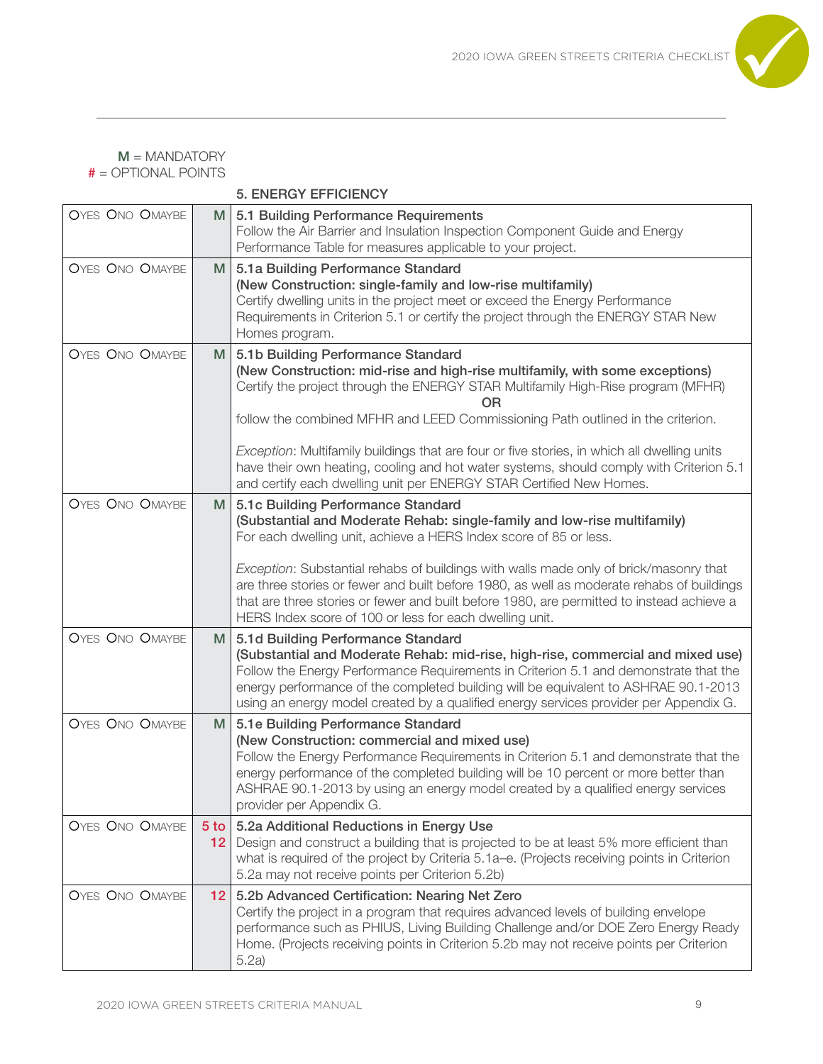

5. ENERGY EFFICIENCY

| <b>OYES ONO OMAYBE</b> | M                         | 5.1 Building Performance Requirements                                                                                                                                                                                                                                                                                                                                                                                                                                                                                                                            |  |  |  |  |
|------------------------|---------------------------|------------------------------------------------------------------------------------------------------------------------------------------------------------------------------------------------------------------------------------------------------------------------------------------------------------------------------------------------------------------------------------------------------------------------------------------------------------------------------------------------------------------------------------------------------------------|--|--|--|--|
|                        |                           | Follow the Air Barrier and Insulation Inspection Component Guide and Energy                                                                                                                                                                                                                                                                                                                                                                                                                                                                                      |  |  |  |  |
|                        |                           | Performance Table for measures applicable to your project.                                                                                                                                                                                                                                                                                                                                                                                                                                                                                                       |  |  |  |  |
| <b>OYES ONO OMAYBE</b> | M.                        | 5.1a Building Performance Standard<br>(New Construction: single-family and low-rise multifamily)<br>Certify dwelling units in the project meet or exceed the Energy Performance<br>Requirements in Criterion 5.1 or certify the project through the ENERGY STAR New<br>Homes program.                                                                                                                                                                                                                                                                            |  |  |  |  |
| OYES ONO OMAYBE        | M                         | 5.1b Building Performance Standard<br>(New Construction: mid-rise and high-rise multifamily, with some exceptions)<br>Certify the project through the ENERGY STAR Multifamily High-Rise program (MFHR)<br>OR<br>follow the combined MFHR and LEED Commissioning Path outlined in the criterion.<br>Exception: Multifamily buildings that are four or five stories, in which all dwelling units<br>have their own heating, cooling and hot water systems, should comply with Criterion 5.1<br>and certify each dwelling unit per ENERGY STAR Certified New Homes. |  |  |  |  |
| OYES ONO OMAYBE        | M.                        | 5.1c Building Performance Standard<br>(Substantial and Moderate Rehab: single-family and low-rise multifamily)<br>For each dwelling unit, achieve a HERS Index score of 85 or less.<br>Exception: Substantial rehabs of buildings with walls made only of brick/masonry that<br>are three stories or fewer and built before 1980, as well as moderate rehabs of buildings<br>that are three stories or fewer and built before 1980, are permitted to instead achieve a<br>HERS Index score of 100 or less for each dwelling unit.                                |  |  |  |  |
| <b>OYES ONO OMAYBE</b> | M                         | 5.1d Building Performance Standard<br>(Substantial and Moderate Rehab: mid-rise, high-rise, commercial and mixed use)<br>Follow the Energy Performance Requirements in Criterion 5.1 and demonstrate that the<br>energy performance of the completed building will be equivalent to ASHRAE 90.1-2013<br>using an energy model created by a qualified energy services provider per Appendix G.                                                                                                                                                                    |  |  |  |  |
| <b>OYES ONO OMAYBE</b> | M                         | 5.1e Building Performance Standard<br>(New Construction: commercial and mixed use)<br>Follow the Energy Performance Requirements in Criterion 5.1 and demonstrate that the<br>energy performance of the completed building will be 10 percent or more better than<br>ASHRAE 90.1-2013 by using an energy model created by a qualified energy services<br>provider per Appendix G.                                                                                                                                                                                |  |  |  |  |
| <b>OYES ONO OMAYBE</b> | $5$ to<br>12 <sub>2</sub> | 5.2a Additional Reductions in Energy Use<br>Design and construct a building that is projected to be at least 5% more efficient than<br>what is required of the project by Criteria 5.1a–e. (Projects receiving points in Criterion<br>5.2a may not receive points per Criterion 5.2b)                                                                                                                                                                                                                                                                            |  |  |  |  |
| OYES ONO OMAYBE        | 12 <sup>2</sup>           | 5.2b Advanced Certification: Nearing Net Zero<br>Certify the project in a program that requires advanced levels of building envelope<br>performance such as PHIUS, Living Building Challenge and/or DOE Zero Energy Ready<br>Home. (Projects receiving points in Criterion 5.2b may not receive points per Criterion<br>5.2a)                                                                                                                                                                                                                                    |  |  |  |  |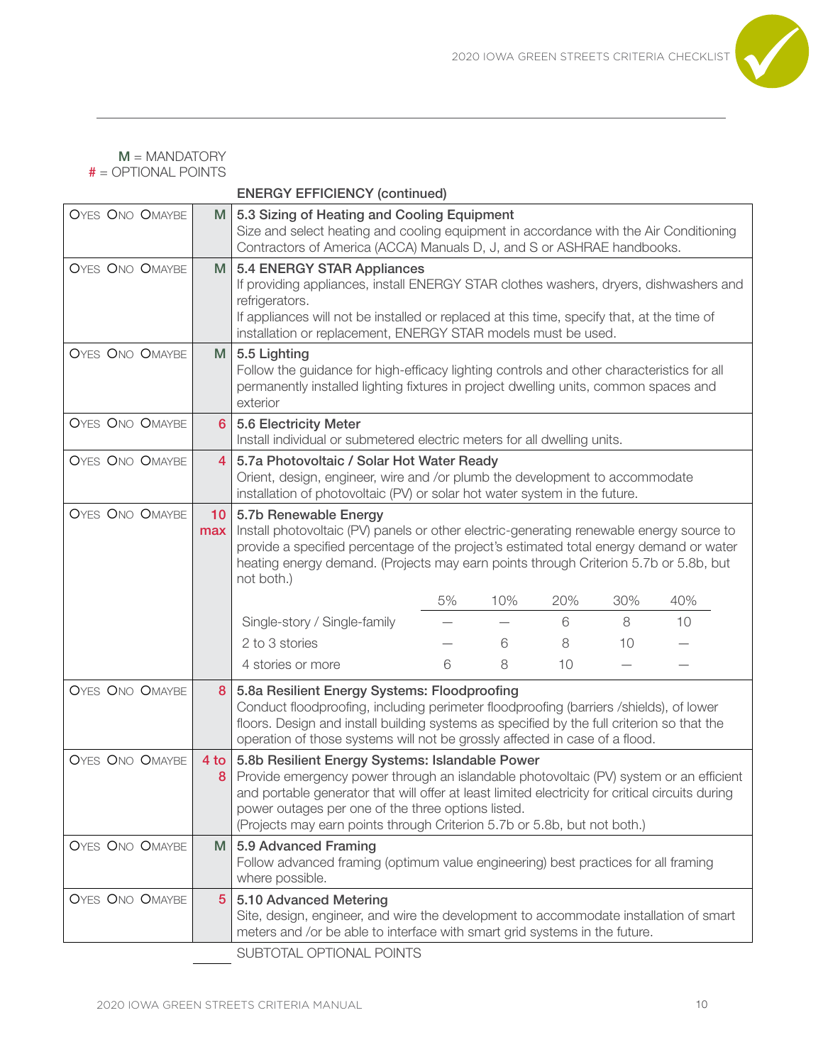

ENERGY EFFICIENCY (continued)

| OYES ONO OMAYBE        | M                      | 5.3 Sizing of Heating and Cooling Equipment<br>Size and select heating and cooling equipment in accordance with the Air Conditioning<br>Contractors of America (ACCA) Manuals D, J, and S or ASHRAE handbooks.                                                                                                                                                                  |    |     |     |     |     |  |
|------------------------|------------------------|---------------------------------------------------------------------------------------------------------------------------------------------------------------------------------------------------------------------------------------------------------------------------------------------------------------------------------------------------------------------------------|----|-----|-----|-----|-----|--|
| <b>OYES ONO OMAYBE</b> | M                      | 5.4 ENERGY STAR Appliances<br>If providing appliances, install ENERGY STAR clothes washers, dryers, dishwashers and<br>refrigerators.<br>If appliances will not be installed or replaced at this time, specify that, at the time of<br>installation or replacement, ENERGY STAR models must be used.                                                                            |    |     |     |     |     |  |
| <b>OYES ONO OMAYBE</b> | M                      | 5.5 Lighting<br>Follow the guidance for high-efficacy lighting controls and other characteristics for all<br>permanently installed lighting fixtures in project dwelling units, common spaces and<br>exterior                                                                                                                                                                   |    |     |     |     |     |  |
| <b>OYES ONO OMAYBE</b> | 6                      | 5.6 Electricity Meter<br>Install individual or submetered electric meters for all dwelling units.                                                                                                                                                                                                                                                                               |    |     |     |     |     |  |
| <b>OYES ONO OMAYBE</b> | $\overline{4}$         | 5.7a Photovoltaic / Solar Hot Water Ready<br>Orient, design, engineer, wire and /or plumb the development to accommodate<br>installation of photovoltaic (PV) or solar hot water system in the future.                                                                                                                                                                          |    |     |     |     |     |  |
| <b>OYES ONO OMAYBE</b> | 10 <sup>°</sup><br>max | 5.7b Renewable Energy<br>Install photovoltaic (PV) panels or other electric-generating renewable energy source to<br>provide a specified percentage of the project's estimated total energy demand or water<br>heating energy demand. (Projects may earn points through Criterion 5.7b or 5.8b, but<br>not both.)                                                               |    |     |     |     |     |  |
|                        |                        |                                                                                                                                                                                                                                                                                                                                                                                 | 5% | 10% | 20% | 30% | 40% |  |
|                        |                        | Single-story / Single-family                                                                                                                                                                                                                                                                                                                                                    |    |     | 6   | 8   | 10  |  |
|                        |                        | 2 to 3 stories                                                                                                                                                                                                                                                                                                                                                                  |    | 6   | 8   | 10  |     |  |
|                        |                        | 4 stories or more                                                                                                                                                                                                                                                                                                                                                               | 6  | 8   | 10  |     |     |  |
| <b>OYES ONO OMAYBE</b> | 8                      | 5.8a Resilient Energy Systems: Floodproofing<br>Conduct floodproofing, including perimeter floodproofing (barriers /shields), of lower<br>floors. Design and install building systems as specified by the full criterion so that the<br>operation of those systems will not be grossly affected in case of a flood.                                                             |    |     |     |     |     |  |
| <b>OYES ONO OMAYBE</b> | 4 <sub>to</sub><br>8   | 5.8b Resilient Energy Systems: Islandable Power<br>Provide emergency power through an islandable photovoltaic (PV) system or an efficient<br>and portable generator that will offer at least limited electricity for critical circuits during<br>power outages per one of the three options listed.<br>(Projects may earn points through Criterion 5.7b or 5.8b, but not both.) |    |     |     |     |     |  |
| OYES ONO OMAYBE        | M                      | 5.9 Advanced Framing<br>Follow advanced framing (optimum value engineering) best practices for all framing<br>where possible.                                                                                                                                                                                                                                                   |    |     |     |     |     |  |
| <b>OYES ONO OMAYBE</b> | 5                      | 5.10 Advanced Metering<br>Site, design, engineer, and wire the development to accommodate installation of smart<br>meters and /or be able to interface with smart grid systems in the future.<br><b>CURTATAL ADTIONAL DOINTS</b>                                                                                                                                                |    |     |     |     |     |  |

SUBTOTAL OPTIONAL POINTS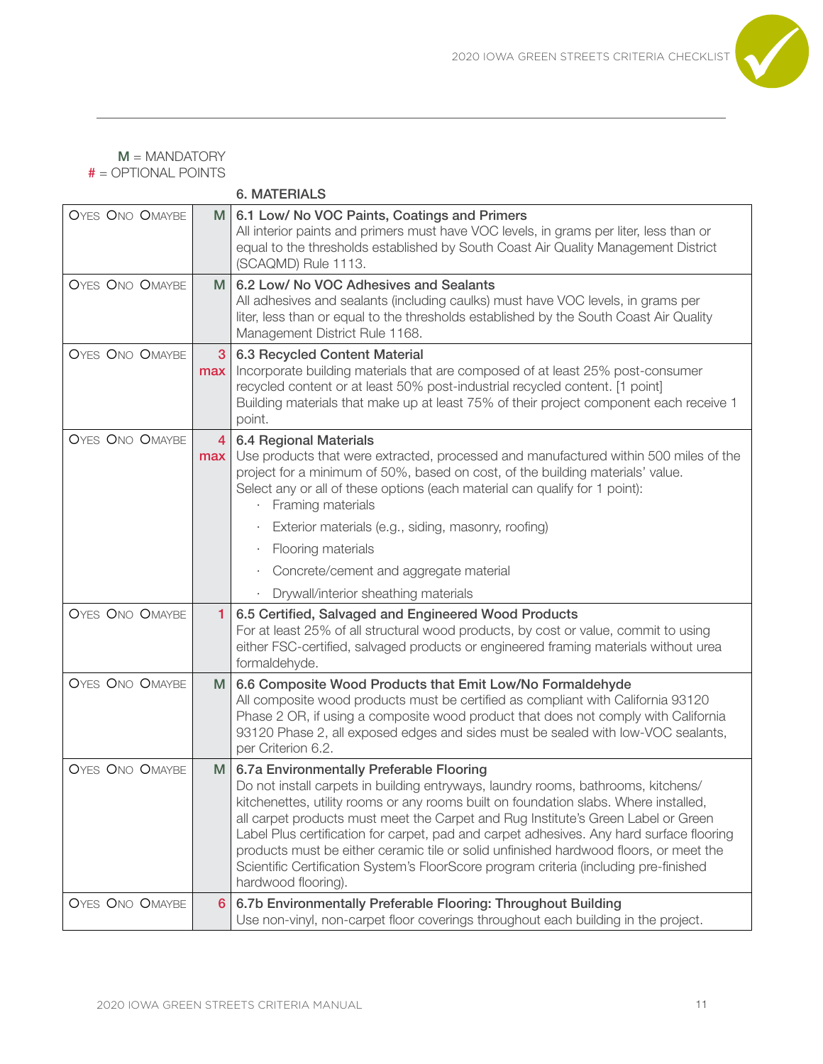

|                        |                       | <b>6. MATERIALS</b>                                                                                                                                                                                                                                                                                                                                                                                                                                                                                                                                                                                             |
|------------------------|-----------------------|-----------------------------------------------------------------------------------------------------------------------------------------------------------------------------------------------------------------------------------------------------------------------------------------------------------------------------------------------------------------------------------------------------------------------------------------------------------------------------------------------------------------------------------------------------------------------------------------------------------------|
| <b>OYES ONO OMAYBE</b> | M                     | 6.1 Low/ No VOC Paints, Coatings and Primers<br>All interior paints and primers must have VOC levels, in grams per liter, less than or<br>equal to the thresholds established by South Coast Air Quality Management District<br>(SCAQMD) Rule 1113.                                                                                                                                                                                                                                                                                                                                                             |
| <b>OYES ONO OMAYBE</b> | M.                    | 6.2 Low/ No VOC Adhesives and Sealants<br>All adhesives and sealants (including caulks) must have VOC levels, in grams per<br>liter, less than or equal to the thresholds established by the South Coast Air Quality<br>Management District Rule 1168.                                                                                                                                                                                                                                                                                                                                                          |
| <b>OYES ONO OMAYBE</b> | 3<br>max              | 6.3 Recycled Content Material<br>Incorporate building materials that are composed of at least 25% post-consumer<br>recycled content or at least 50% post-industrial recycled content. [1 point]<br>Building materials that make up at least 75% of their project component each receive 1<br>point.                                                                                                                                                                                                                                                                                                             |
| <b>OYES ONO OMAYBE</b> | $\overline{4}$<br>max | <b>6.4 Regional Materials</b><br>Use products that were extracted, processed and manufactured within 500 miles of the<br>project for a minimum of 50%, based on cost, of the building materials' value.<br>Select any or all of these options (each material can qualify for 1 point):<br>Framing materials                                                                                                                                                                                                                                                                                                     |
|                        |                       | Exterior materials (e.g., siding, masonry, roofing)<br>$\bullet$                                                                                                                                                                                                                                                                                                                                                                                                                                                                                                                                                |
|                        |                       | Flooring materials<br>$\bullet$                                                                                                                                                                                                                                                                                                                                                                                                                                                                                                                                                                                 |
|                        |                       | Concrete/cement and aggregate material<br>٠                                                                                                                                                                                                                                                                                                                                                                                                                                                                                                                                                                     |
|                        |                       | Drywall/interior sheathing materials                                                                                                                                                                                                                                                                                                                                                                                                                                                                                                                                                                            |
| <b>OYES ONO OMAYBE</b> | 1                     | 6.5 Certified, Salvaged and Engineered Wood Products<br>For at least 25% of all structural wood products, by cost or value, commit to using<br>either FSC-certified, salvaged products or engineered framing materials without urea<br>formaldehyde.                                                                                                                                                                                                                                                                                                                                                            |
| <b>OYES ONO OMAYBE</b> | M                     | 6.6 Composite Wood Products that Emit Low/No Formaldehyde<br>All composite wood products must be certified as compliant with California 93120<br>Phase 2 OR, if using a composite wood product that does not comply with California<br>93120 Phase 2, all exposed edges and sides must be sealed with low-VOC sealants,<br>per Criterion 6.2.                                                                                                                                                                                                                                                                   |
| <b>OYES ONO OMAYBE</b> | M                     | 6.7a Environmentally Preferable Flooring<br>Do not install carpets in building entryways, laundry rooms, bathrooms, kitchens/<br>kitchenettes, utility rooms or any rooms built on foundation slabs. Where installed,<br>all carpet products must meet the Carpet and Rug Institute's Green Label or Green<br>Label Plus certification for carpet, pad and carpet adhesives. Any hard surface flooring<br>products must be either ceramic tile or solid unfinished hardwood floors, or meet the<br>Scientific Certification System's FloorScore program criteria (including pre-finished<br>hardwood flooring). |
| OYES ONO OMAYBE        | 6                     | 6.7b Environmentally Preferable Flooring: Throughout Building<br>Use non-vinyl, non-carpet floor coverings throughout each building in the project.                                                                                                                                                                                                                                                                                                                                                                                                                                                             |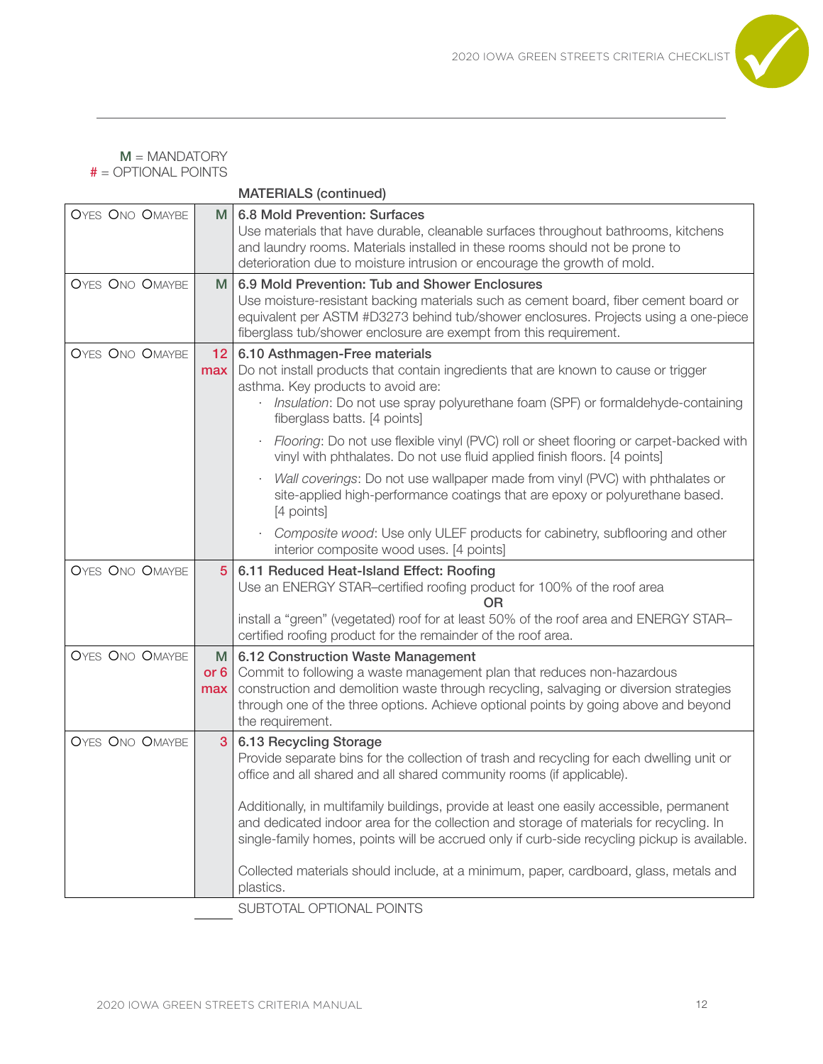

|                        |                    | <b>MATERIALS (continued)</b>                                                                                                                                                                                                                                                                                                                                                                                                                                                                                                                                                                                           |  |  |  |
|------------------------|--------------------|------------------------------------------------------------------------------------------------------------------------------------------------------------------------------------------------------------------------------------------------------------------------------------------------------------------------------------------------------------------------------------------------------------------------------------------------------------------------------------------------------------------------------------------------------------------------------------------------------------------------|--|--|--|
| <b>OYES ONO OMAYBE</b> | M                  | 6.8 Mold Prevention: Surfaces<br>Use materials that have durable, cleanable surfaces throughout bathrooms, kitchens<br>and laundry rooms. Materials installed in these rooms should not be prone to<br>deterioration due to moisture intrusion or encourage the growth of mold.                                                                                                                                                                                                                                                                                                                                        |  |  |  |
| <b>OYES ONO OMAYBE</b> | M                  | 6.9 Mold Prevention: Tub and Shower Enclosures<br>Use moisture-resistant backing materials such as cement board, fiber cement board or<br>equivalent per ASTM #D3273 behind tub/shower enclosures. Projects using a one-piece<br>fiberglass tub/shower enclosure are exempt from this requirement.                                                                                                                                                                                                                                                                                                                     |  |  |  |
| <b>OYES ONO OMAYBE</b> | 12<br>max          | 6.10 Asthmagen-Free materials<br>Do not install products that contain ingredients that are known to cause or trigger<br>asthma. Key products to avoid are:<br>Insulation: Do not use spray polyurethane foam (SPF) or formaldehyde-containing<br>fiberglass batts. [4 points]                                                                                                                                                                                                                                                                                                                                          |  |  |  |
|                        |                    | Flooring: Do not use flexible vinyl (PVC) roll or sheet flooring or carpet-backed with<br>vinyl with phthalates. Do not use fluid applied finish floors. [4 points]<br>Wall coverings: Do not use wallpaper made from vinyl (PVC) with phthalates or<br>site-applied high-performance coatings that are epoxy or polyurethane based.                                                                                                                                                                                                                                                                                   |  |  |  |
|                        |                    | [4 points]<br>Composite wood: Use only ULEF products for cabinetry, subflooring and other<br>interior composite wood uses. [4 points]                                                                                                                                                                                                                                                                                                                                                                                                                                                                                  |  |  |  |
| <b>OYES ONO OMAYBE</b> | 5 <sup>5</sup>     | 6.11 Reduced Heat-Island Effect: Roofing<br>Use an ENERGY STAR-certified roofing product for 100% of the roof area<br><b>OR</b>                                                                                                                                                                                                                                                                                                                                                                                                                                                                                        |  |  |  |
|                        |                    | install a "green" (vegetated) roof for at least 50% of the roof area and ENERGY STAR-<br>certified roofing product for the remainder of the roof area.                                                                                                                                                                                                                                                                                                                                                                                                                                                                 |  |  |  |
| <b>OYES ONO OMAYBE</b> | M<br>or $6$<br>max | 6.12 Construction Waste Management<br>Commit to following a waste management plan that reduces non-hazardous<br>construction and demolition waste through recycling, salvaging or diversion strategies<br>through one of the three options. Achieve optional points by going above and beyond<br>the requirement.                                                                                                                                                                                                                                                                                                      |  |  |  |
| <b>OYES ONO OMAYBE</b> | 3                  | 6.13 Recycling Storage<br>Provide separate bins for the collection of trash and recycling for each dwelling unit or<br>office and all shared and all shared community rooms (if applicable).<br>Additionally, in multifamily buildings, provide at least one easily accessible, permanent<br>and dedicated indoor area for the collection and storage of materials for recycling. In<br>single-family homes, points will be accrued only if curb-side recycling pickup is available.<br>Collected materials should include, at a minimum, paper, cardboard, glass, metals and<br>plastics.<br>SUBTOTAL OPTIONAL POINTS |  |  |  |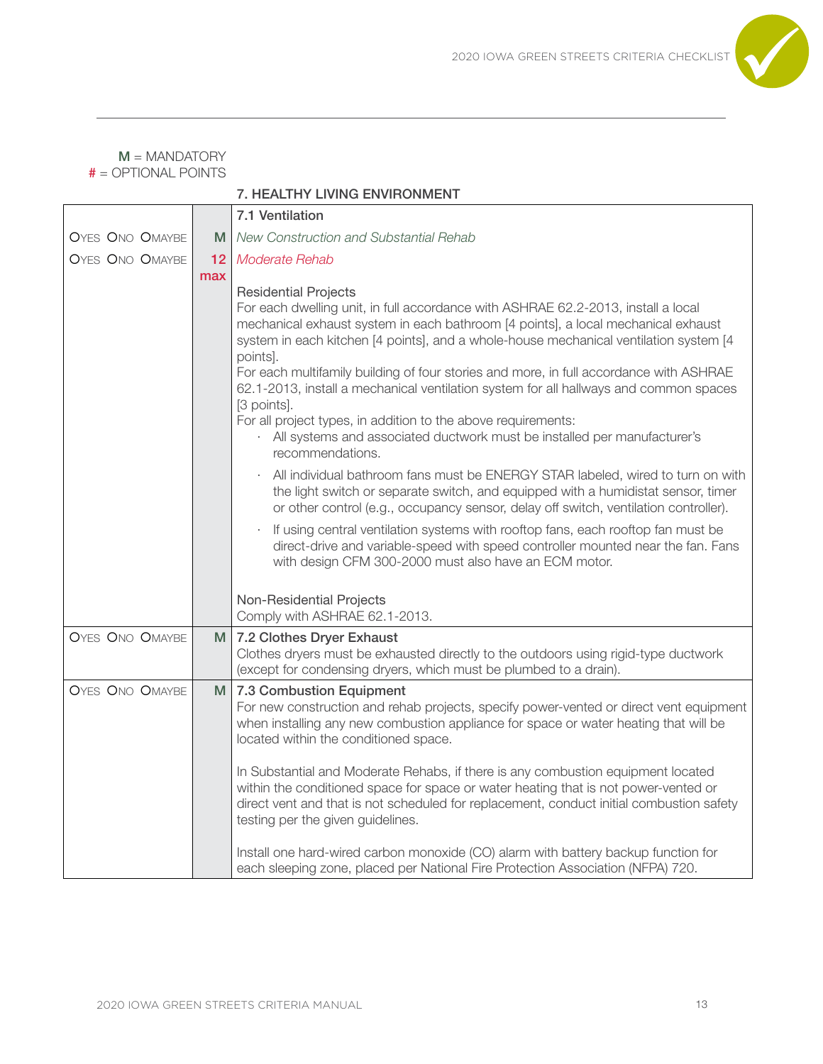

|                        |     | <b>7. HEALTHY LIVING ENVIRONMENT</b>                                                                                                                                                                                                                                                                                                                                                                                                                                                                                                                                                                                                                                                                                                                                                                                                                                                                                                                                                                                                                                                                                                                                                                                                        |
|------------------------|-----|---------------------------------------------------------------------------------------------------------------------------------------------------------------------------------------------------------------------------------------------------------------------------------------------------------------------------------------------------------------------------------------------------------------------------------------------------------------------------------------------------------------------------------------------------------------------------------------------------------------------------------------------------------------------------------------------------------------------------------------------------------------------------------------------------------------------------------------------------------------------------------------------------------------------------------------------------------------------------------------------------------------------------------------------------------------------------------------------------------------------------------------------------------------------------------------------------------------------------------------------|
|                        |     | 7.1 Ventilation                                                                                                                                                                                                                                                                                                                                                                                                                                                                                                                                                                                                                                                                                                                                                                                                                                                                                                                                                                                                                                                                                                                                                                                                                             |
| OYES ONO OMAYBE        | M   | New Construction and Substantial Rehab                                                                                                                                                                                                                                                                                                                                                                                                                                                                                                                                                                                                                                                                                                                                                                                                                                                                                                                                                                                                                                                                                                                                                                                                      |
| <b>OYES ONO OMAYBE</b> | 12  | <b>Moderate Rehab</b>                                                                                                                                                                                                                                                                                                                                                                                                                                                                                                                                                                                                                                                                                                                                                                                                                                                                                                                                                                                                                                                                                                                                                                                                                       |
|                        | max | <b>Residential Projects</b><br>For each dwelling unit, in full accordance with ASHRAE 62.2-2013, install a local<br>mechanical exhaust system in each bathroom [4 points], a local mechanical exhaust<br>system in each kitchen [4 points], and a whole-house mechanical ventilation system [4<br>points].<br>For each multifamily building of four stories and more, in full accordance with ASHRAE<br>62.1-2013, install a mechanical ventilation system for all hallways and common spaces<br>[3 points].<br>For all project types, in addition to the above requirements:<br>All systems and associated ductwork must be installed per manufacturer's<br>recommendations.<br>All individual bathroom fans must be ENERGY STAR labeled, wired to turn on with<br>the light switch or separate switch, and equipped with a humidistat sensor, timer<br>or other control (e.g., occupancy sensor, delay off switch, ventilation controller).<br>If using central ventilation systems with rooftop fans, each rooftop fan must be<br>direct-drive and variable-speed with speed controller mounted near the fan. Fans<br>with design CFM 300-2000 must also have an ECM motor.<br>Non-Residential Projects<br>Comply with ASHRAE 62.1-2013. |
| <b>OYES ONO OMAYBE</b> | M   | 7.2 Clothes Dryer Exhaust                                                                                                                                                                                                                                                                                                                                                                                                                                                                                                                                                                                                                                                                                                                                                                                                                                                                                                                                                                                                                                                                                                                                                                                                                   |
|                        |     | Clothes dryers must be exhausted directly to the outdoors using rigid-type ductwork<br>(except for condensing dryers, which must be plumbed to a drain).                                                                                                                                                                                                                                                                                                                                                                                                                                                                                                                                                                                                                                                                                                                                                                                                                                                                                                                                                                                                                                                                                    |
| <b>OYES ONO OMAYBE</b> | M   | 7.3 Combustion Equipment<br>For new construction and rehab projects, specify power-vented or direct vent equipment<br>when installing any new combustion appliance for space or water heating that will be<br>located within the conditioned space.<br>In Substantial and Moderate Rehabs, if there is any combustion equipment located<br>within the conditioned space for space or water heating that is not power-vented or<br>direct vent and that is not scheduled for replacement, conduct initial combustion safety<br>testing per the given guidelines.<br>Install one hard-wired carbon monoxide (CO) alarm with battery backup function for<br>each sleeping zone, placed per National Fire Protection Association (NFPA) 720.                                                                                                                                                                                                                                                                                                                                                                                                                                                                                                    |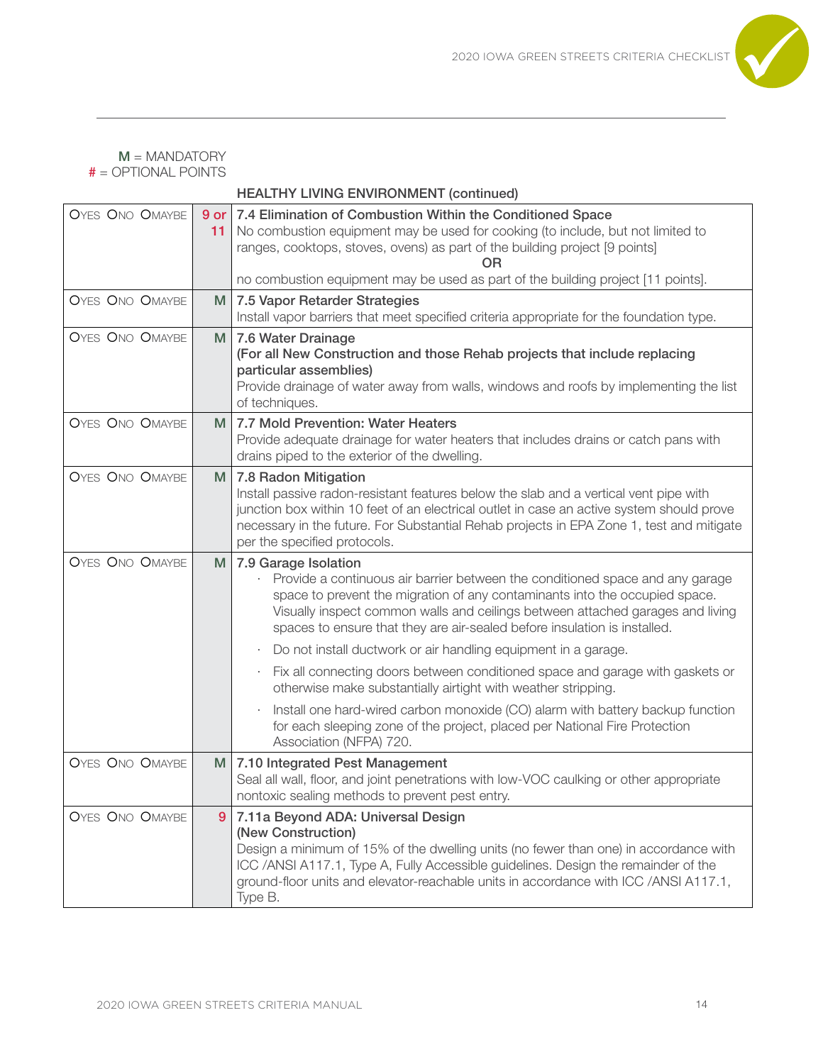

#### HEALTHY LIVING ENVIRONMENT (continued)

| <b>OYES ONO OMAYBE</b> | 11 | 9 or 7.4 Elimination of Combustion Within the Conditioned Space<br>No combustion equipment may be used for cooking (to include, but not limited to<br>ranges, cooktops, stoves, ovens) as part of the building project [9 points]<br>OR<br>no combustion equipment may be used as part of the building project [11 points].                         |
|------------------------|----|-----------------------------------------------------------------------------------------------------------------------------------------------------------------------------------------------------------------------------------------------------------------------------------------------------------------------------------------------------|
| <b>OYES ONO OMAYBE</b> | M  | 7.5 Vapor Retarder Strategies<br>Install vapor barriers that meet specified criteria appropriate for the foundation type.                                                                                                                                                                                                                           |
| <b>OYES ONO OMAYBE</b> | M  | 7.6 Water Drainage<br>(For all New Construction and those Rehab projects that include replacing<br>particular assemblies)<br>Provide drainage of water away from walls, windows and roofs by implementing the list<br>of techniques.                                                                                                                |
| <b>OYES ONO OMAYBE</b> | м  | 7.7 Mold Prevention: Water Heaters<br>Provide adequate drainage for water heaters that includes drains or catch pans with<br>drains piped to the exterior of the dwelling.                                                                                                                                                                          |
| <b>OYES ONO OMAYBE</b> | M  | 7.8 Radon Mitigation<br>Install passive radon-resistant features below the slab and a vertical vent pipe with<br>junction box within 10 feet of an electrical outlet in case an active system should prove<br>necessary in the future. For Substantial Rehab projects in EPA Zone 1, test and mitigate<br>per the specified protocols.              |
| <b>OYES ONO OMAYBE</b> | M  | 7.9 Garage Isolation<br>Provide a continuous air barrier between the conditioned space and any garage<br>space to prevent the migration of any contaminants into the occupied space.<br>Visually inspect common walls and ceilings between attached garages and living<br>spaces to ensure that they are air-sealed before insulation is installed. |
|                        |    | Do not install ductwork or air handling equipment in a garage.<br>$\bullet$                                                                                                                                                                                                                                                                         |
|                        |    | Fix all connecting doors between conditioned space and garage with gaskets or<br>$\bullet$<br>otherwise make substantially airtight with weather stripping.                                                                                                                                                                                         |
|                        |    | Install one hard-wired carbon monoxide (CO) alarm with battery backup function<br>for each sleeping zone of the project, placed per National Fire Protection<br>Association (NFPA) 720.                                                                                                                                                             |
| <b>OYES ONO OMAYBE</b> | M  | 7.10 Integrated Pest Management<br>Seal all wall, floor, and joint penetrations with low-VOC caulking or other appropriate<br>nontoxic sealing methods to prevent pest entry.                                                                                                                                                                       |
| <b>OYES ONO OMAYBE</b> | 9  | 7.11a Beyond ADA: Universal Design<br>(New Construction)<br>Design a minimum of 15% of the dwelling units (no fewer than one) in accordance with<br>ICC /ANSI A117.1, Type A, Fully Accessible guidelines. Design the remainder of the<br>ground-floor units and elevator-reachable units in accordance with ICC /ANSI A117.1,<br>Type B.           |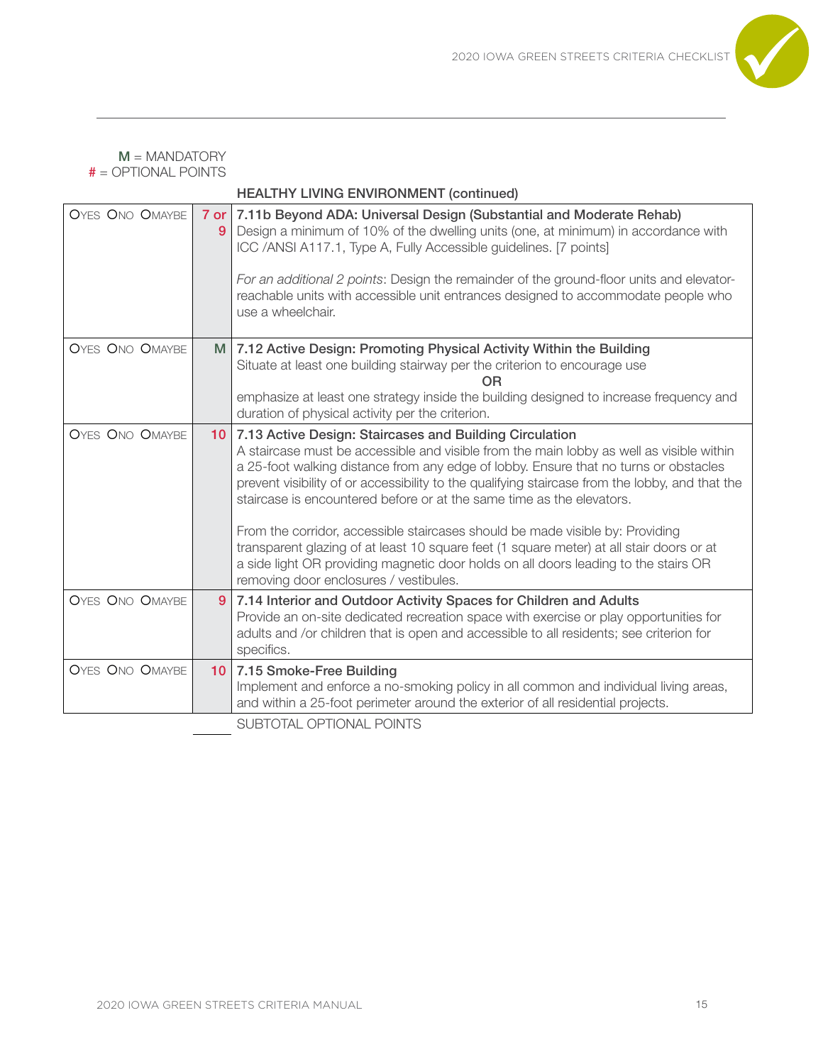

| <b>OYES ONO OMAYBE</b> | 9               | 7 or 7.11b Beyond ADA: Universal Design (Substantial and Moderate Rehab)<br>Design a minimum of 10% of the dwelling units (one, at minimum) in accordance with<br>ICC /ANSI A117.1, Type A, Fully Accessible guidelines. [7 points]<br>For an additional 2 points: Design the remainder of the ground-floor units and elevator-<br>reachable units with accessible unit entrances designed to accommodate people who<br>use a wheelchair.                                                                                                                                                                                                                                                                                             |
|------------------------|-----------------|---------------------------------------------------------------------------------------------------------------------------------------------------------------------------------------------------------------------------------------------------------------------------------------------------------------------------------------------------------------------------------------------------------------------------------------------------------------------------------------------------------------------------------------------------------------------------------------------------------------------------------------------------------------------------------------------------------------------------------------|
| <b>OYES ONO OMAYBE</b> | M               | 7.12 Active Design: Promoting Physical Activity Within the Building<br>Situate at least one building stairway per the criterion to encourage use<br>ΩR<br>emphasize at least one strategy inside the building designed to increase frequency and<br>duration of physical activity per the criterion.                                                                                                                                                                                                                                                                                                                                                                                                                                  |
| <b>OYES ONO OMAYBE</b> | 10              | 7.13 Active Design: Staircases and Building Circulation<br>A staircase must be accessible and visible from the main lobby as well as visible within<br>a 25-foot walking distance from any edge of lobby. Ensure that no turns or obstacles<br>prevent visibility of or accessibility to the qualifying staircase from the lobby, and that the<br>staircase is encountered before or at the same time as the elevators.<br>From the corridor, accessible staircases should be made visible by: Providing<br>transparent glazing of at least 10 square feet (1 square meter) at all stair doors or at<br>a side light OR providing magnetic door holds on all doors leading to the stairs OR<br>removing door enclosures / vestibules. |
| OYES ONO OMAYBE        | 9               | 7.14 Interior and Outdoor Activity Spaces for Children and Adults<br>Provide an on-site dedicated recreation space with exercise or play opportunities for<br>adults and /or children that is open and accessible to all residents; see criterion for<br>specifics.                                                                                                                                                                                                                                                                                                                                                                                                                                                                   |
| <b>OYES ONO OMAYBE</b> | 10 <sub>1</sub> | 7.15 Smoke-Free Building<br>Implement and enforce a no-smoking policy in all common and individual living areas,<br>and within a 25-foot perimeter around the exterior of all residential projects.<br>SUBTOTAL OPTIONAL POINTS                                                                                                                                                                                                                                                                                                                                                                                                                                                                                                       |